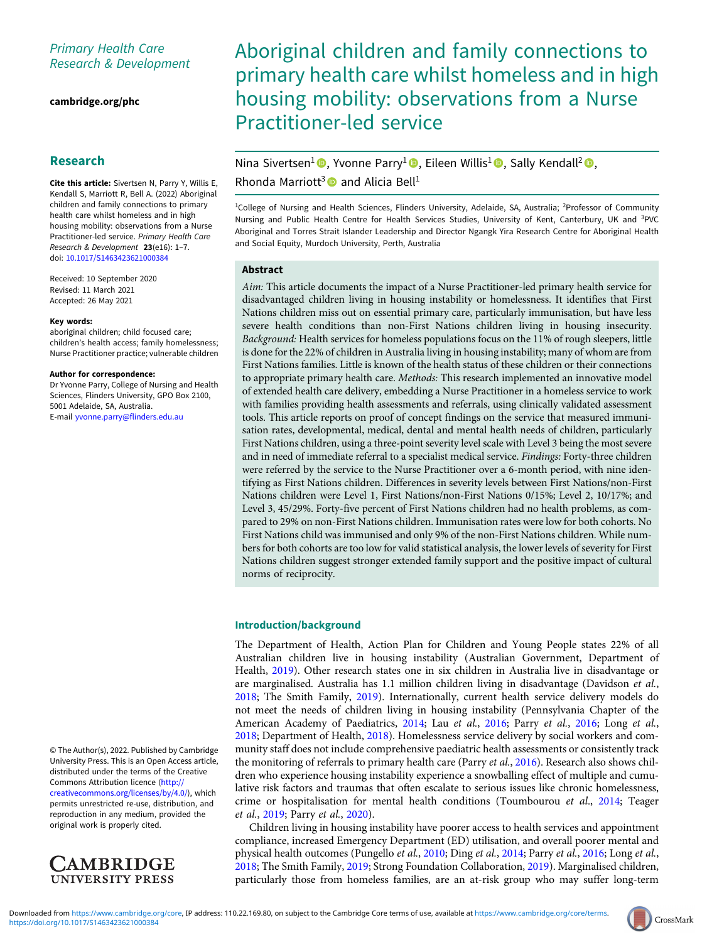# Primary Health Care Research & Development

[cambridge.org/phc](https://www.cambridge.org/phc)

# Research

Cite this article: Sivertsen N, Parry Y, Willis E, Kendall S, Marriott R, Bell A. (2022) Aboriginal children and family connections to primary health care whilst homeless and in high housing mobility: observations from a Nurse Practitioner-led service. Primary Health Care Research & Development 23(e16): 1–7. doi: [10.1017/S1463423621000384](https://doi.org/10.1017/S1463423621000384)

Received: 10 September 2020 Revised: 11 March 2021 Accepted: 26 May 2021

#### Key words:

aboriginal children; child focused care; children's health access; family homelessness; Nurse Practitioner practice; vulnerable children

#### Author for correspondence:

Dr Yvonne Parry, College of Nursing and Health Sciences, Flinders University, GPO Box 2100, 5001 Adelaide, SA, Australia. E-mail [yvonne.parry@flinders.edu.au](mailto:yvonne.parry@flinders.edu.au)

© The Author(s), 2022. Published by Cambridge University Press. This is an Open Access article, distributed under the terms of the Creative Commons Attribution licence ([http://](http://creativecommons.org/licenses/by/4.0/) [creativecommons.org/licenses/by/4.0/\)](http://creativecommons.org/licenses/by/4.0/), which permits unrestricted re-use, distribution, and reproduction in any medium, provided the original work is properly cited.



# Aboriginal children and family connections to primary health care whilst homeless and in high housing mobility: observations from a Nurse Practitioner-led service

# Nina Sivertsen<sup>1</sup><sup>®</sup>, Yvonne Parry<sup>1</sup><sup>®</sup>, Eileen Willis<sup>1</sup><sup>®</sup>, Sally Kendall<sup>2</sup><sup>®</sup>, Rhonda Marriott<sup>3</sup> and Alicia Bell<sup>1</sup>

<sup>1</sup>College of Nursing and Health Sciences, Flinders University, Adelaide, SA, Australia; <sup>2</sup>Professor of Community Nursing and Public Health Centre for Health Services Studies, University of Kent, Canterbury, UK and <sup>3</sup>PVC Aboriginal and Torres Strait Islander Leadership and Director Ngangk Yira Research Centre for Aboriginal Health and Social Equity, Murdoch University, Perth, Australia

# Abstract

Aim: This article documents the impact of a Nurse Practitioner-led primary health service for disadvantaged children living in housing instability or homelessness. It identifies that First Nations children miss out on essential primary care, particularly immunisation, but have less severe health conditions than non-First Nations children living in housing insecurity. Background: Health services for homeless populations focus on the 11% of rough sleepers, little is done for the 22% of children in Australia living in housing instability; many of whom are from First Nations families. Little is known of the health status of these children or their connections to appropriate primary health care. Methods: This research implemented an innovative model of extended health care delivery, embedding a Nurse Practitioner in a homeless service to work with families providing health assessments and referrals, using clinically validated assessment tools. This article reports on proof of concept findings on the service that measured immunisation rates, developmental, medical, dental and mental health needs of children, particularly First Nations children, using a three-point severity level scale with Level 3 being the most severe and in need of immediate referral to a specialist medical service. Findings: Forty-three children were referred by the service to the Nurse Practitioner over a 6-month period, with nine identifying as First Nations children. Differences in severity levels between First Nations/non-First Nations children were Level 1, First Nations/non-First Nations 0/15%; Level 2, 10/17%; and Level 3, 45/29%. Forty-five percent of First Nations children had no health problems, as compared to 29% on non-First Nations children. Immunisation rates were low for both cohorts. No First Nations child was immunised and only 9% of the non-First Nations children. While numbers for both cohorts are too low for valid statistical analysis, the lower levels of severity for First Nations children suggest stronger extended family support and the positive impact of cultural norms of reciprocity.

# Introduction/background

The Department of Health, Action Plan for Children and Young People states 22% of all Australian children live in housing instability (Australian Government, Department of Health, [2019](#page-5-0)). Other research states one in six children in Australia live in disadvantage or are marginalised. Australia has 1.1 million children living in disadvantage (Davidson et al., [2018](#page-5-0); The Smith Family, [2019\)](#page-6-0). Internationally, current health service delivery models do not meet the needs of children living in housing instability (Pennsylvania Chapter of the American Academy of Paediatrics, [2014](#page-5-0); Lau et al., [2016;](#page-5-0) Parry et al., 2016; Long et al., [2018](#page-5-0); Department of Health, [2018](#page-5-0)). Homelessness service delivery by social workers and community staff does not include comprehensive paediatric health assessments or consistently track the monitoring of referrals to primary health care (Parry et al., [2016](#page-5-0)). Research also shows children who experience housing instability experience a snowballing effect of multiple and cumulative risk factors and traumas that often escalate to serious issues like chronic homelessness, crime or hospitalisation for mental health conditions (Toumbourou et al., [2014](#page-6-0); Teager et al., [2019;](#page-6-0) Parry et al., [2020](#page-5-0)).

Children living in housing instability have poorer access to health services and appointment compliance, increased Emergency Department (ED) utilisation, and overall poorer mental and physical health outcomes (Pungello *et al.*, [2010;](#page-5-0) Ding *et al.*, [2014](#page-5-0); Parry *et al.*, [2016;](#page-5-0) Long *et al.*, [2018](#page-5-0); The Smith Family, [2019](#page-6-0); Strong Foundation Collaboration, [2019\)](#page-6-0). Marginalised children, particularly those from homeless families, are an at-risk group who may suffer long-term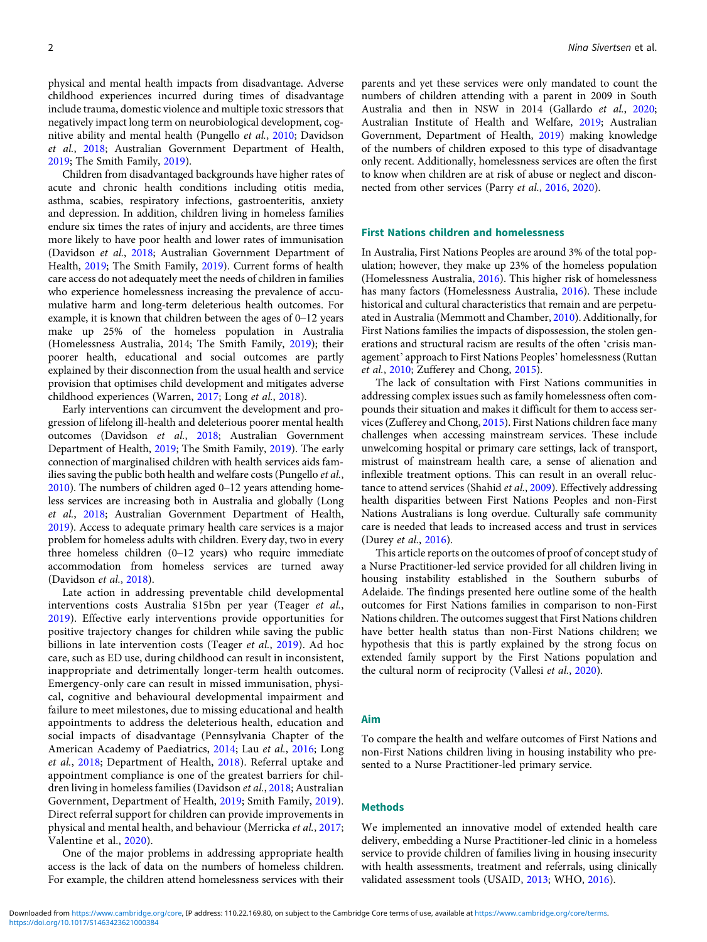physical and mental health impacts from disadvantage. Adverse childhood experiences incurred during times of disadvantage include trauma, domestic violence and multiple toxic stressors that negatively impact long term on neurobiological development, cognitive ability and mental health (Pungello et al., [2010;](#page-5-0) Davidson et al., [2018](#page-5-0); Australian Government Department of Health, [2019;](#page-5-0) The Smith Family, [2019](#page-6-0)).

Children from disadvantaged backgrounds have higher rates of acute and chronic health conditions including otitis media, asthma, scabies, respiratory infections, gastroenteritis, anxiety and depression. In addition, children living in homeless families endure six times the rates of injury and accidents, are three times more likely to have poor health and lower rates of immunisation (Davidson et al., [2018;](#page-5-0) Australian Government Department of Health, [2019;](#page-5-0) The Smith Family, [2019](#page-6-0)). Current forms of health care access do not adequately meet the needs of children in families who experience homelessness increasing the prevalence of accumulative harm and long-term deleterious health outcomes. For example, it is known that children between the ages of 0–12 years make up 25% of the homeless population in Australia (Homelessness Australia, 2014; The Smith Family, [2019](#page-6-0)); their poorer health, educational and social outcomes are partly explained by their disconnection from the usual health and service provision that optimises child development and mitigates adverse childhood experiences (Warren, [2017](#page-6-0); Long et al., [2018](#page-5-0)).

Early interventions can circumvent the development and progression of lifelong ill-health and deleterious poorer mental health outcomes (Davidson et al., [2018;](#page-5-0) Australian Government Department of Health, [2019](#page-5-0); The Smith Family, [2019](#page-6-0)). The early connection of marginalised children with health services aids families saving the public both health and welfare costs (Pungello et al., [2010\)](#page-5-0). The numbers of children aged 0–12 years attending homeless services are increasing both in Australia and globally (Long et al., [2018](#page-5-0); Australian Government Department of Health, [2019\)](#page-5-0). Access to adequate primary health care services is a major problem for homeless adults with children. Every day, two in every three homeless children (0–12 years) who require immediate accommodation from homeless services are turned away (Davidson et al., [2018\)](#page-5-0).

Late action in addressing preventable child developmental interventions costs Australia \$15bn per year (Teager et al., [2019](#page-6-0)). Effective early interventions provide opportunities for positive trajectory changes for children while saving the public billions in late intervention costs (Teager et al., [2019](#page-6-0)). Ad hoc care, such as ED use, during childhood can result in inconsistent, inappropriate and detrimentally longer-term health outcomes. Emergency-only care can result in missed immunisation, physical, cognitive and behavioural developmental impairment and failure to meet milestones, due to missing educational and health appointments to address the deleterious health, education and social impacts of disadvantage (Pennsylvania Chapter of the American Academy of Paediatrics, [2014](#page-5-0); Lau et al., [2016;](#page-5-0) Long et al., [2018](#page-5-0); Department of Health, [2018](#page-5-0)). Referral uptake and appointment compliance is one of the greatest barriers for children living in homeless families (Davidson et al., [2018](#page-5-0); Australian Government, Department of Health, [2019;](#page-5-0) Smith Family, [2019](#page-6-0)). Direct referral support for children can provide improvements in physical and mental health, and behaviour (Merricka et al., [2017](#page-5-0); Valentine et al., [2020](#page-6-0)).

One of the major problems in addressing appropriate health access is the lack of data on the numbers of homeless children. For example, the children attend homelessness services with their parents and yet these services were only mandated to count the numbers of children attending with a parent in 2009 in South Australia and then in NSW in 2014 (Gallardo et al., [2020](#page-5-0); Australian Institute of Health and Welfare, [2019](#page-5-0); Australian Government, Department of Health, [2019](#page-5-0)) making knowledge of the numbers of children exposed to this type of disadvantage only recent. Additionally, homelessness services are often the first to know when children are at risk of abuse or neglect and disconnected from other services (Parry et al., [2016](#page-5-0), [2020\)](#page-5-0).

# First Nations children and homelessness

In Australia, First Nations Peoples are around 3% of the total population; however, they make up 23% of the homeless population (Homelessness Australia, [2016](#page-5-0)). This higher risk of homelessness has many factors (Homelessness Australia, [2016](#page-5-0)). These include historical and cultural characteristics that remain and are perpetuated in Australia (Memmott and Chamber, [2010](#page-5-0)). Additionally, for First Nations families the impacts of dispossession, the stolen generations and structural racism are results of the often 'crisis management' approach to First Nations Peoples' homelessness (Ruttan et al., [2010](#page-5-0); Zufferey and Chong, [2015\)](#page-6-0).

The lack of consultation with First Nations communities in addressing complex issues such as family homelessness often compounds their situation and makes it difficult for them to access services (Zufferey and Chong, [2015\)](#page-6-0). First Nations children face many challenges when accessing mainstream services. These include unwelcoming hospital or primary care settings, lack of transport, mistrust of mainstream health care, a sense of alienation and inflexible treatment options. This can result in an overall reluc-tance to attend services (Shahid et al., [2009\)](#page-5-0). Effectively addressing health disparities between First Nations Peoples and non-First Nations Australians is long overdue. Culturally safe community care is needed that leads to increased access and trust in services (Durey et al., [2016](#page-5-0)).

This article reports on the outcomes of proof of concept study of a Nurse Practitioner-led service provided for all children living in housing instability established in the Southern suburbs of Adelaide. The findings presented here outline some of the health outcomes for First Nations families in comparison to non-First Nations children. The outcomes suggest that First Nations children have better health status than non-First Nations children; we hypothesis that this is partly explained by the strong focus on extended family support by the First Nations population and the cultural norm of reciprocity (Vallesi et al., [2020\)](#page-6-0).

#### Aim

To compare the health and welfare outcomes of First Nations and non-First Nations children living in housing instability who presented to a Nurse Practitioner-led primary service.

#### Methods

We implemented an innovative model of extended health care delivery, embedding a Nurse Practitioner-led clinic in a homeless service to provide children of families living in housing insecurity with health assessments, treatment and referrals, using clinically validated assessment tools (USAID, [2013;](#page-6-0) WHO, [2016](#page-6-0)).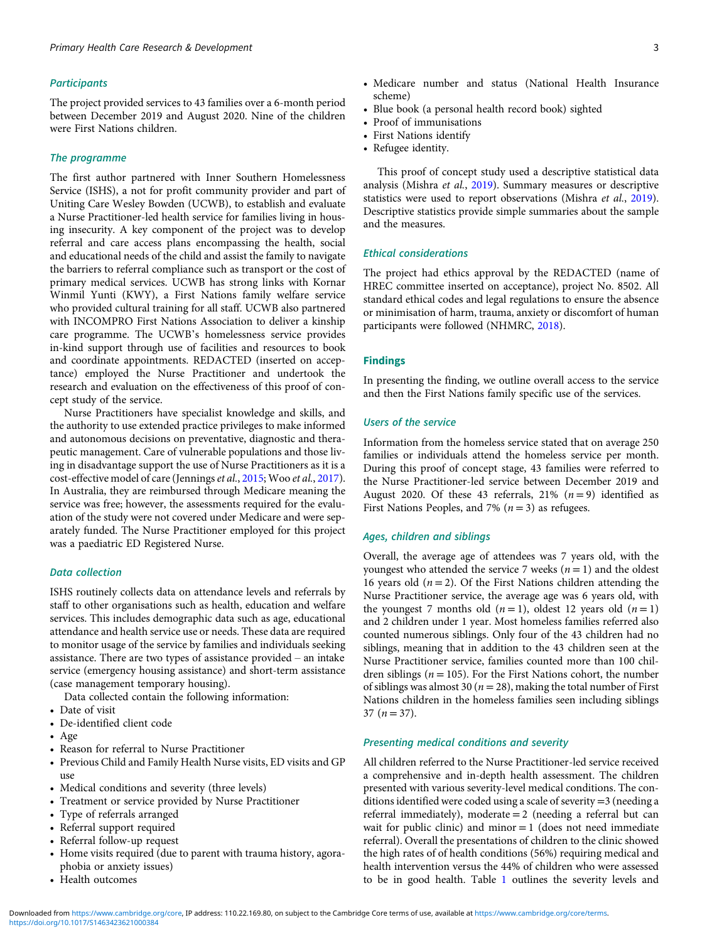#### **Participants**

The project provided services to 43 families over a 6-month period between December 2019 and August 2020. Nine of the children were First Nations children.

#### The programme

The first author partnered with Inner Southern Homelessness Service (ISHS), a not for profit community provider and part of Uniting Care Wesley Bowden (UCWB), to establish and evaluate a Nurse Practitioner-led health service for families living in housing insecurity. A key component of the project was to develop referral and care access plans encompassing the health, social and educational needs of the child and assist the family to navigate the barriers to referral compliance such as transport or the cost of primary medical services. UCWB has strong links with Kornar Winmil Yunti (KWY), a First Nations family welfare service who provided cultural training for all staff. UCWB also partnered with INCOMPRO First Nations Association to deliver a kinship care programme. The UCWB's homelessness service provides in-kind support through use of facilities and resources to book and coordinate appointments. REDACTED (inserted on acceptance) employed the Nurse Practitioner and undertook the research and evaluation on the effectiveness of this proof of concept study of the service.

Nurse Practitioners have specialist knowledge and skills, and the authority to use extended practice privileges to make informed and autonomous decisions on preventative, diagnostic and therapeutic management. Care of vulnerable populations and those living in disadvantage support the use of Nurse Practitioners as it is a cost-effective model of care (Jennings et al., [2015](#page-5-0); Woo et al., [2017\)](#page-6-0). In Australia, they are reimbursed through Medicare meaning the service was free; however, the assessments required for the evaluation of the study were not covered under Medicare and were separately funded. The Nurse Practitioner employed for this project was a paediatric ED Registered Nurse.

# Data collection

ISHS routinely collects data on attendance levels and referrals by staff to other organisations such as health, education and welfare services. This includes demographic data such as age, educational attendance and health service use or needs. These data are required to monitor usage of the service by families and individuals seeking assistance. There are two types of assistance provided – an intake service (emergency housing assistance) and short-term assistance (case management temporary housing).

Data collected contain the following information:

- Date of visit
- De-identified client code
- Age
- Reason for referral to Nurse Practitioner
- Previous Child and Family Health Nurse visits, ED visits and GP use
- Medical conditions and severity (three levels)
- Treatment or service provided by Nurse Practitioner
- Type of referrals arranged
- Referral support required
- Referral follow-up request
- Home visits required (due to parent with trauma history, agoraphobia or anxiety issues)
- Health outcomes
- Medicare number and status (National Health Insurance scheme)
- Blue book (a personal health record book) sighted
- Proof of immunisations
- First Nations identify
- Refugee identity.

This proof of concept study used a descriptive statistical data analysis (Mishra et al., [2019](#page-5-0)). Summary measures or descriptive statistics were used to report observations (Mishra et al., [2019\)](#page-5-0). Descriptive statistics provide simple summaries about the sample and the measures.

#### Ethical considerations

The project had ethics approval by the REDACTED (name of HREC committee inserted on acceptance), project No. 8502. All standard ethical codes and legal regulations to ensure the absence or minimisation of harm, trauma, anxiety or discomfort of human participants were followed (NHMRC, [2018](#page-5-0)).

#### Findings

In presenting the finding, we outline overall access to the service and then the First Nations family specific use of the services.

## Users of the service

Information from the homeless service stated that on average 250 families or individuals attend the homeless service per month. During this proof of concept stage, 43 families were referred to the Nurse Practitioner-led service between December 2019 and August 2020. Of these 43 referrals, 21%  $(n=9)$  identified as First Nations Peoples, and 7% ( $n = 3$ ) as refugees.

# Ages, children and siblings

Overall, the average age of attendees was 7 years old, with the youngest who attended the service 7 weeks ( $n = 1$ ) and the oldest 16 years old  $(n = 2)$ . Of the First Nations children attending the Nurse Practitioner service, the average age was 6 years old, with the youngest 7 months old  $(n = 1)$ , oldest 12 years old  $(n = 1)$ and 2 children under 1 year. Most homeless families referred also counted numerous siblings. Only four of the 43 children had no siblings, meaning that in addition to the 43 children seen at the Nurse Practitioner service, families counted more than 100 children siblings ( $n = 105$ ). For the First Nations cohort, the number of siblings was almost 30 ( $n = 28$ ), making the total number of First Nations children in the homeless families seen including siblings  $37 (n = 37)$ .

# Presenting medical conditions and severity

All children referred to the Nurse Practitioner-led service received a comprehensive and in-depth health assessment. The children presented with various severity-level medical conditions. The conditions identified were coded using a scale of severity =3 (needing a referral immediately), moderate = 2 (needing a referral but can wait for public clinic) and minor  $= 1$  (does not need immediate referral). Overall the presentations of children to the clinic showed the high rates of of health conditions (56%) requiring medical and health intervention versus the 44% of children who were assessed to be in good health. Table [1](#page-3-0) outlines the severity levels and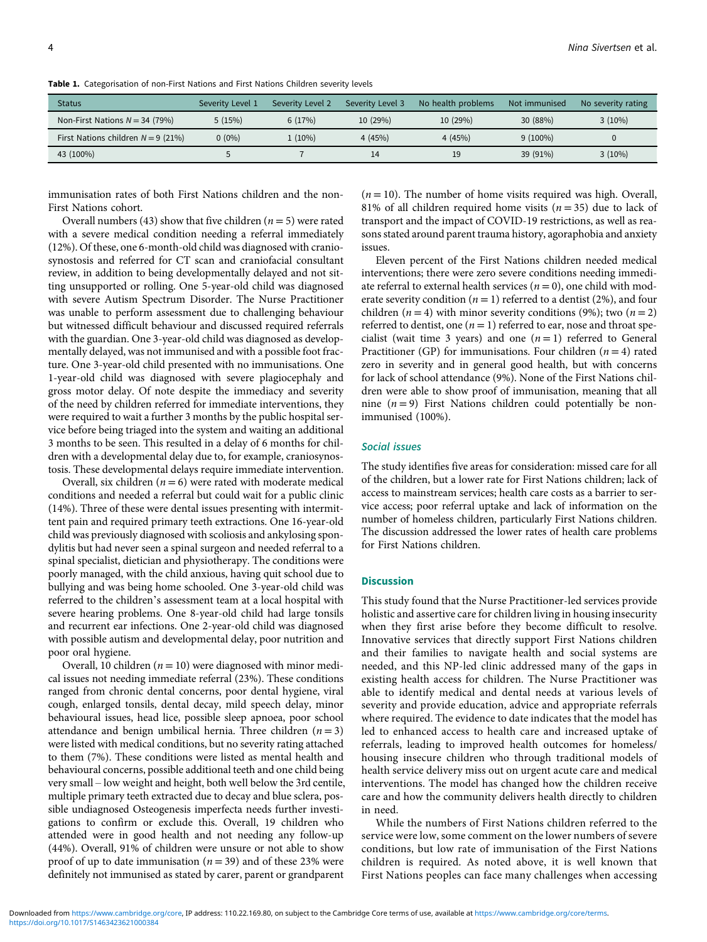| <b>Status</b>                        | Severity Level 1 | Severity Level 2 | Severity Level 3 | No health problems | Not immunised | No severity rating |
|--------------------------------------|------------------|------------------|------------------|--------------------|---------------|--------------------|
| Non-First Nations $N = 34$ (79%)     | 5(15%)           | 6(17%)           | 10(29%)          | 10(29%)            | 30 (88%)      | $3(10\%)$          |
| First Nations children $N = 9$ (21%) | $0(0\%)$         | $1(10\%)$        | 4(45%)           | 4(45%)             | $9(100\%)$    |                    |
| 43 (100%)                            |                  |                  | 14               |                    | 39 (91%)      | $3(10\%)$          |

<span id="page-3-0"></span>Table 1. Categorisation of non-First Nations and First Nations Children severity levels

immunisation rates of both First Nations children and the non-First Nations cohort.

Overall numbers (43) show that five children ( $n = 5$ ) were rated with a severe medical condition needing a referral immediately (12%). Of these, one 6-month-old child was diagnosed with craniosynostosis and referred for CT scan and craniofacial consultant review, in addition to being developmentally delayed and not sitting unsupported or rolling. One 5-year-old child was diagnosed with severe Autism Spectrum Disorder. The Nurse Practitioner was unable to perform assessment due to challenging behaviour but witnessed difficult behaviour and discussed required referrals with the guardian. One 3-year-old child was diagnosed as developmentally delayed, was not immunised and with a possible foot fracture. One 3-year-old child presented with no immunisations. One 1-year-old child was diagnosed with severe plagiocephaly and gross motor delay. Of note despite the immediacy and severity of the need by children referred for immediate interventions, they were required to wait a further 3 months by the public hospital service before being triaged into the system and waiting an additional 3 months to be seen. This resulted in a delay of 6 months for children with a developmental delay due to, for example, craniosynostosis. These developmental delays require immediate intervention.

Overall, six children  $(n = 6)$  were rated with moderate medical conditions and needed a referral but could wait for a public clinic (14%). Three of these were dental issues presenting with intermittent pain and required primary teeth extractions. One 16-year-old child was previously diagnosed with scoliosis and ankylosing spondylitis but had never seen a spinal surgeon and needed referral to a spinal specialist, dietician and physiotherapy. The conditions were poorly managed, with the child anxious, having quit school due to bullying and was being home schooled. One 3-year-old child was referred to the children's assessment team at a local hospital with severe hearing problems. One 8-year-old child had large tonsils and recurrent ear infections. One 2-year-old child was diagnosed with possible autism and developmental delay, poor nutrition and poor oral hygiene.

Overall, 10 children ( $n = 10$ ) were diagnosed with minor medical issues not needing immediate referral (23%). These conditions ranged from chronic dental concerns, poor dental hygiene, viral cough, enlarged tonsils, dental decay, mild speech delay, minor behavioural issues, head lice, possible sleep apnoea, poor school attendance and benign umbilical hernia. Three children  $(n = 3)$ were listed with medical conditions, but no severity rating attached to them (7%). These conditions were listed as mental health and behavioural concerns, possible additional teeth and one child being very small – low weight and height, both well below the 3rd centile, multiple primary teeth extracted due to decay and blue sclera, possible undiagnosed Osteogenesis imperfecta needs further investigations to confirm or exclude this. Overall, 19 children who attended were in good health and not needing any follow-up (44%). Overall, 91% of children were unsure or not able to show proof of up to date immunisation ( $n = 39$ ) and of these 23% were definitely not immunised as stated by carer, parent or grandparent

 $(n = 10)$ . The number of home visits required was high. Overall, 81% of all children required home visits ( $n = 35$ ) due to lack of transport and the impact of COVID-19 restrictions, as well as reasons stated around parent trauma history, agoraphobia and anxiety issues.

Eleven percent of the First Nations children needed medical interventions; there were zero severe conditions needing immediate referral to external health services ( $n = 0$ ), one child with moderate severity condition ( $n = 1$ ) referred to a dentist (2%), and four children ( $n = 4$ ) with minor severity conditions (9%); two ( $n = 2$ ) referred to dentist, one ( $n = 1$ ) referred to ear, nose and throat specialist (wait time 3 years) and one  $(n = 1)$  referred to General Practitioner (GP) for immunisations. Four children ( $n = 4$ ) rated zero in severity and in general good health, but with concerns for lack of school attendance (9%). None of the First Nations children were able to show proof of immunisation, meaning that all nine  $(n = 9)$  First Nations children could potentially be nonimmunised (100%).

# Social issues

The study identifies five areas for consideration: missed care for all of the children, but a lower rate for First Nations children; lack of access to mainstream services; health care costs as a barrier to service access; poor referral uptake and lack of information on the number of homeless children, particularly First Nations children. The discussion addressed the lower rates of health care problems for First Nations children.

## **Discussion**

This study found that the Nurse Practitioner-led services provide holistic and assertive care for children living in housing insecurity when they first arise before they become difficult to resolve. Innovative services that directly support First Nations children and their families to navigate health and social systems are needed, and this NP-led clinic addressed many of the gaps in existing health access for children. The Nurse Practitioner was able to identify medical and dental needs at various levels of severity and provide education, advice and appropriate referrals where required. The evidence to date indicates that the model has led to enhanced access to health care and increased uptake of referrals, leading to improved health outcomes for homeless/ housing insecure children who through traditional models of health service delivery miss out on urgent acute care and medical interventions. The model has changed how the children receive care and how the community delivers health directly to children in need.

While the numbers of First Nations children referred to the service were low, some comment on the lower numbers of severe conditions, but low rate of immunisation of the First Nations children is required. As noted above, it is well known that First Nations peoples can face many challenges when accessing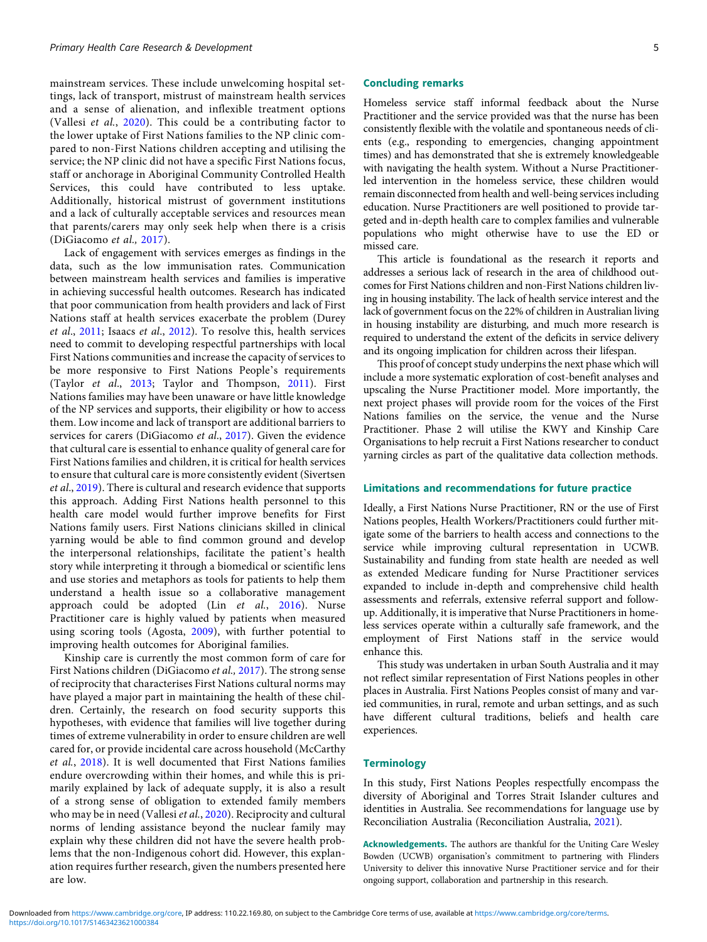mainstream services. These include unwelcoming hospital settings, lack of transport, mistrust of mainstream health services and a sense of alienation, and inflexible treatment options (Vallesi et al., [2020\)](#page-6-0). This could be a contributing factor to the lower uptake of First Nations families to the NP clinic compared to non-First Nations children accepting and utilising the service; the NP clinic did not have a specific First Nations focus, staff or anchorage in Aboriginal Community Controlled Health Services, this could have contributed to less uptake. Additionally, historical mistrust of government institutions and a lack of culturally acceptable services and resources mean that parents/carers may only seek help when there is a crisis (DiGiacomo et al., [2017\)](#page-5-0).

Lack of engagement with services emerges as findings in the data, such as the low immunisation rates. Communication between mainstream health services and families is imperative in achieving successful health outcomes. Research has indicated that poor communication from health providers and lack of First Nations staff at health services exacerbate the problem (Durey et al., [2011;](#page-5-0) Isaacs et al., [2012\)](#page-5-0). To resolve this, health services need to commit to developing respectful partnerships with local First Nations communities and increase the capacity of services to be more responsive to First Nations People's requirements (Taylor et al., [2013](#page-6-0); Taylor and Thompson, [2011](#page-6-0)). First Nations families may have been unaware or have little knowledge of the NP services and supports, their eligibility or how to access them. Low income and lack of transport are additional barriers to services for carers (DiGiacomo et al., [2017](#page-5-0)). Given the evidence that cultural care is essential to enhance quality of general care for First Nations families and children, it is critical for health services to ensure that cultural care is more consistently evident (Sivertsen et al., [2019\)](#page-6-0). There is cultural and research evidence that supports this approach. Adding First Nations health personnel to this health care model would further improve benefits for First Nations family users. First Nations clinicians skilled in clinical yarning would be able to find common ground and develop the interpersonal relationships, facilitate the patient's health story while interpreting it through a biomedical or scientific lens and use stories and metaphors as tools for patients to help them understand a health issue so a collaborative management approach could be adopted (Lin  $et$   $al$ ,  $2016$ ). Nurse Practitioner care is highly valued by patients when measured using scoring tools (Agosta, [2009\)](#page-5-0), with further potential to improving health outcomes for Aboriginal families.

Kinship care is currently the most common form of care for First Nations children (DiGiacomo et al., [2017](#page-5-0)). The strong sense of reciprocity that characterises First Nations cultural norms may have played a major part in maintaining the health of these children. Certainly, the research on food security supports this hypotheses, with evidence that families will live together during times of extreme vulnerability in order to ensure children are well cared for, or provide incidental care across household (McCarthy et al., [2018](#page-5-0)). It is well documented that First Nations families endure overcrowding within their homes, and while this is primarily explained by lack of adequate supply, it is also a result of a strong sense of obligation to extended family members who may be in need (Vallesi et al., [2020](#page-6-0)). Reciprocity and cultural norms of lending assistance beyond the nuclear family may explain why these children did not have the severe health problems that the non-Indigenous cohort did. However, this explanation requires further research, given the numbers presented here are low.

#### Concluding remarks

Homeless service staff informal feedback about the Nurse Practitioner and the service provided was that the nurse has been consistently flexible with the volatile and spontaneous needs of clients (e.g., responding to emergencies, changing appointment times) and has demonstrated that she is extremely knowledgeable with navigating the health system. Without a Nurse Practitionerled intervention in the homeless service, these children would remain disconnected from health and well-being services including education. Nurse Practitioners are well positioned to provide targeted and in-depth health care to complex families and vulnerable populations who might otherwise have to use the ED or missed care.

This article is foundational as the research it reports and addresses a serious lack of research in the area of childhood outcomes for First Nations children and non-First Nations children living in housing instability. The lack of health service interest and the lack of government focus on the 22% of children in Australian living in housing instability are disturbing, and much more research is required to understand the extent of the deficits in service delivery and its ongoing implication for children across their lifespan.

This proof of concept study underpins the next phase which will include a more systematic exploration of cost-benefit analyses and upscaling the Nurse Practitioner model. More importantly, the next project phases will provide room for the voices of the First Nations families on the service, the venue and the Nurse Practitioner. Phase 2 will utilise the KWY and Kinship Care Organisations to help recruit a First Nations researcher to conduct yarning circles as part of the qualitative data collection methods.

#### Limitations and recommendations for future practice

Ideally, a First Nations Nurse Practitioner, RN or the use of First Nations peoples, Health Workers/Practitioners could further mitigate some of the barriers to health access and connections to the service while improving cultural representation in UCWB. Sustainability and funding from state health are needed as well as extended Medicare funding for Nurse Practitioner services expanded to include in-depth and comprehensive child health assessments and referrals, extensive referral support and followup. Additionally, it is imperative that Nurse Practitioners in homeless services operate within a culturally safe framework, and the employment of First Nations staff in the service would enhance this.

This study was undertaken in urban South Australia and it may not reflect similar representation of First Nations peoples in other places in Australia. First Nations Peoples consist of many and varied communities, in rural, remote and urban settings, and as such have different cultural traditions, beliefs and health care experiences.

# **Terminology**

In this study, First Nations Peoples respectfully encompass the diversity of Aboriginal and Torres Strait Islander cultures and identities in Australia. See recommendations for language use by Reconciliation Australia (Reconciliation Australia, [2021\)](#page-5-0).

Acknowledgements. The authors are thankful for the Uniting Care Wesley Bowden (UCWB) organisation's commitment to partnering with Flinders University to deliver this innovative Nurse Practitioner service and for their ongoing support, collaboration and partnership in this research.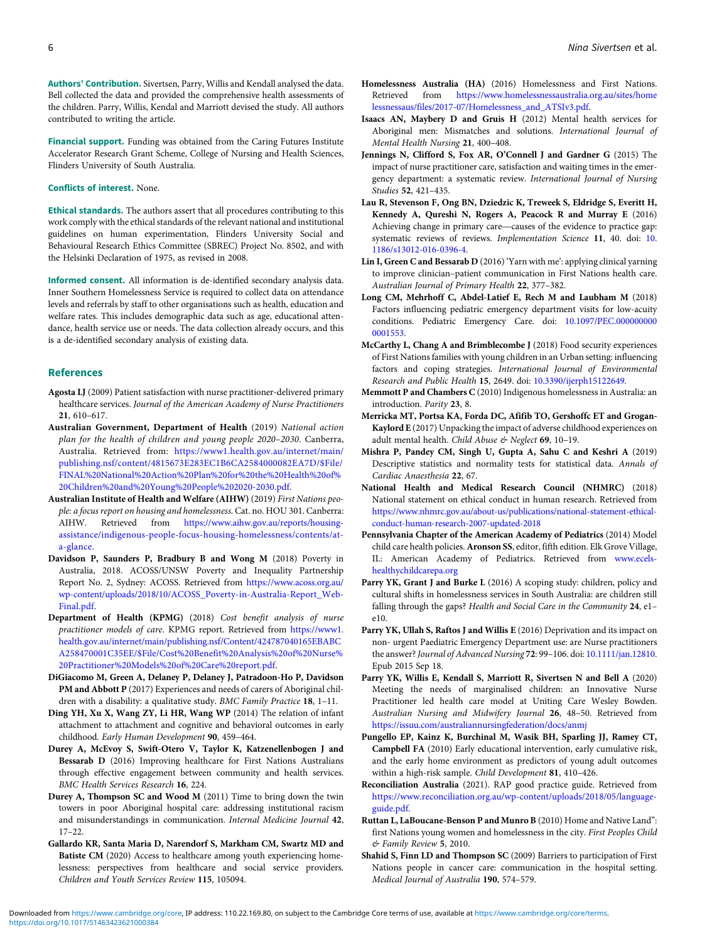<span id="page-5-0"></span>Authors' Contribution. Sivertsen, Parry, Willis and Kendall analysed the data. Bell collected the data and provided the comprehensive health assessments of the children. Parry, Willis, Kendal and Marriott devised the study. All authors contributed to writing the article.

Financial support. Funding was obtained from the Caring Futures Institute Accelerator Research Grant Scheme, College of Nursing and Health Sciences, Flinders University of South Australia.

#### Conflicts of interest. None.

Ethical standards. The authors assert that all procedures contributing to this work comply with the ethical standards of the relevant national and institutional guidelines on human experimentation, Flinders University Social and Behavioural Research Ethics Committee (SBREC) Project No. 8502, and with the Helsinki Declaration of 1975, as revised in 2008.

Informed consent. All information is de-identified secondary analysis data. Inner Southern Homelessness Service is required to collect data on attendance levels and referrals by staff to other organisations such as health, education and welfare rates. This includes demographic data such as age, educational attendance, health service use or needs. The data collection already occurs, and this is a de-identified secondary analysis of existing data.

#### References

- Agosta LJ (2009) Patient satisfaction with nurse practitioner-delivered primary healthcare services. Journal of the American Academy of Nurse Practitioners 21, 610–617.
- Australian Government, Department of Health (2019) National action plan for the health of children and young people 2020–2030. Canberra, Australia. Retrieved from: [https://www1.health.gov.au/internet/main/](https://www1.health.gov.au/internet/main/publishing.nsf/content/4815673E283EC1B6CA2584000082EA7D/$File/FINAL%20National%20Action%20Plan%20for%20the%20Health%20of%20Children%20and%20Young%20People%202020-2030.pdf) [publishing.nsf/content/4815673E283EC1B6CA2584000082EA7D/\\$File/](https://www1.health.gov.au/internet/main/publishing.nsf/content/4815673E283EC1B6CA2584000082EA7D/$File/FINAL%20National%20Action%20Plan%20for%20the%20Health%20of%20Children%20and%20Young%20People%202020-2030.pdf) [FINAL%20National%20Action%20Plan%20for%20the%20Health%20of%](https://www1.health.gov.au/internet/main/publishing.nsf/content/4815673E283EC1B6CA2584000082EA7D/$File/FINAL%20National%20Action%20Plan%20for%20the%20Health%20of%20Children%20and%20Young%20People%202020-2030.pdf) [20Children%20and%20Young%20People%202020-2030.pdf.](https://www1.health.gov.au/internet/main/publishing.nsf/content/4815673E283EC1B6CA2584000082EA7D/$File/FINAL%20National%20Action%20Plan%20for%20the%20Health%20of%20Children%20and%20Young%20People%202020-2030.pdf)
- Australian Institute of Health and Welfare (AIHW) (2019) First Nations people: a focus report on housing and homelessness. Cat. no. HOU 301. Canberra: AIHW. Retrieved from [https://www.aihw.gov.au/reports/housing](https://www.aihw.gov.au/reports/housing-assistance/indigenous-people-focus-housing-homelessness/contents/at-a-glance)[assistance/indigenous-people-focus-housing-homelessness/contents/at](https://www.aihw.gov.au/reports/housing-assistance/indigenous-people-focus-housing-homelessness/contents/at-a-glance)[a-glance](https://www.aihw.gov.au/reports/housing-assistance/indigenous-people-focus-housing-homelessness/contents/at-a-glance).
- Davidson P, Saunders P, Bradbury B and Wong M (2018) Poverty in Australia, 2018. ACOSS/UNSW Poverty and Inequality Partnership Report No. 2, Sydney: ACOSS. Retrieved from [https://www.acoss.org.au/](https://www.acoss.org.au/wp-content/uploads/2018/10/ACOSS_Poverty-in-Australia-Report_Web-Final.pdf) [wp-content/uploads/2018/10/ACOSS\\_Poverty-in-Australia-Report\\_Web-](https://www.acoss.org.au/wp-content/uploads/2018/10/ACOSS_Poverty-in-Australia-Report_Web-Final.pdf)[Final.pdf](https://www.acoss.org.au/wp-content/uploads/2018/10/ACOSS_Poverty-in-Australia-Report_Web-Final.pdf).
- Department of Health (KPMG) (2018) Cost benefit analysis of nurse practitioner models of care. KPMG report. Retrieved from [https://www1.](https://www1.health.gov.au/internet/main/publishing.nsf/Content/424787040165EBABCA258470001C35EE/$File/Cost%20Benefit%20Analysis%20of%20Nurse%20Practitioner%20Models%20of%20Care%20report.pdf) [health.gov.au/internet/main/publishing.nsf/Content/424787040165EBABC](https://www1.health.gov.au/internet/main/publishing.nsf/Content/424787040165EBABCA258470001C35EE/$File/Cost%20Benefit%20Analysis%20of%20Nurse%20Practitioner%20Models%20of%20Care%20report.pdf) [A258470001C35EE/\\$File/Cost%20Benefit%20Analysis%20of%20Nurse%](https://www1.health.gov.au/internet/main/publishing.nsf/Content/424787040165EBABCA258470001C35EE/$File/Cost%20Benefit%20Analysis%20of%20Nurse%20Practitioner%20Models%20of%20Care%20report.pdf) [20Practitioner%20Models%20of%20Care%20report.pdf.](https://www1.health.gov.au/internet/main/publishing.nsf/Content/424787040165EBABCA258470001C35EE/$File/Cost%20Benefit%20Analysis%20of%20Nurse%20Practitioner%20Models%20of%20Care%20report.pdf)
- DiGiacomo M, Green A, Delaney P, Delaney J, Patradoon-Ho P, Davidson PM and Abbott P (2017) Experiences and needs of carers of Aboriginal children with a disability: a qualitative study. BMC Family Practice 18, 1-11.
- Ding YH, Xu X, Wang ZY, Li HR, Wang WP (2014) The relation of infant attachment to attachment and cognitive and behavioral outcomes in early childhood. Early Human Development 90, 459–464.
- Durey A, McEvoy S, Swift-Otero V, Taylor K, Katzenellenbogen J and Bessarab D (2016) Improving healthcare for First Nations Australians through effective engagement between community and health services. BMC Health Services Research 16, 224.
- Durey A, Thompson SC and Wood M (2011) Time to bring down the twin towers in poor Aboriginal hospital care: addressing institutional racism and misunderstandings in communication. Internal Medicine Journal 42, 17–22.
- Gallardo KR, Santa Maria D, Narendorf S, Markham CM, Swartz MD and Batiste CM (2020) Access to healthcare among youth experiencing homelessness: perspectives from healthcare and social service providers. Children and Youth Services Review 115, 105094.
- Homelessness Australia (HA) (2016) Homelessness and First Nations. Retrieved from [https://www.homelessnessaustralia.org.au/sites/home](https://www.homelessnessaustralia.org.au/sites/homelessnessaus/files/2017-07/Homelessness_and_ATSIv3.pdf) [lessnessaus/files/2017-07/Homelessness\\_and\\_ATSIv3.pdf.](https://www.homelessnessaustralia.org.au/sites/homelessnessaus/files/2017-07/Homelessness_and_ATSIv3.pdf)
- Isaacs AN, Maybery D and Gruis H (2012) Mental health services for Aboriginal men: Mismatches and solutions. International Journal of Mental Health Nursing 21, 400–408.
- Jennings N, Clifford S, Fox AR, O'Connell J and Gardner G (2015) The impact of nurse practitioner care, satisfaction and waiting times in the emergency department: a systematic review. International Journal of Nursing Studies 52, 421–435.
- Lau R, Stevenson F, Ong BN, Dziedzic K, Treweek S, Eldridge S, Everitt H, Kennedy A, Qureshi N, Rogers A, Peacock R and Murray E (2016)<br>Achieving change in primary care—causes of the evidence to practice gap: Studies 52, 421–435.<br>
u R, Stevenson F, Ong BN, Dziedzic K, Treweek S, Eldridge S, Everitt H, Kennedy A, Qureshi N, Rogers A, Peacock R and Murray E (2016)<br>
Achieving change in primary care—causes of the evidence to practi systematic reviews of reviews. Implementation Science 11, 40. doi: [10.](https://doi.org/10.1186/s13012-016-0396-4) [1186/s13012-016-0396-4](https://doi.org/10.1186/s13012-016-0396-4).
- Lin I, Green C and Bessarab D (2016) 'Yarn with me': applying clinical yarning to improve clinician–patient communication in First Nations health care. Australian Journal of Primary Health 22, 377–382.
- Long CM, Mehrhoff C, Abdel-Latief E, Rech M and Laubham M (2018) Factors influencing pediatric emergency department visits for low-acuity conditions. Pediatric Emergency Care. doi: [10.1097/PEC.000000000](https://doi.org/10.1097/PEC.0000000000001553) [0001553](https://doi.org/10.1097/PEC.0000000000001553).
- McCarthy L, Chang A and Brimblecombe J (2018) Food security experiences of First Nations families with young children in an Urban setting: influencing factors and coping strategies. International Journal of Environmental Research and Public Health 15, 2649. doi: [10.3390/ijerph15122649](https://doi.org/10.3390/ijerph15122649).
- Memmott P and Chambers C (2010) Indigenous homelessness in Australia: an introduction. Parity 23, 8.
- Merricka MT, Portsa KA, Forda DC, Afifib TO, Gershoffc ET and Grogan-Kaylord E (2017) Unpacking the impact of adverse childhood experiences on adult mental health. Child Abuse & Neglect 69, 10-19.
- Mishra P, Pandey CM, Singh U, Gupta A, Sahu C and Keshri A (2019) Descriptive statistics and normality tests for statistical data. Annals of Cardiac Anaesthesia 22, 67.
- National Health and Medical Research Council (NHMRC) (2018) National statement on ethical conduct in human research. Retrieved from [https://www.nhmrc.gov.au/about-us/publications/national-statement-ethical](https://www.nhmrc.gov.au/about-us/publications/national-statement-ethical-conduct-human-research-2007-updated-2018)[conduct-human-research-2007-updated-2018](https://www.nhmrc.gov.au/about-us/publications/national-statement-ethical-conduct-human-research-2007-updated-2018)
- Pennsylvania Chapter of the American Academy of Pediatrics (2014) Model child care health policies.Aronson SS, editor, fifth edition. Elk Grove Village, IL: American Academy of Pediatrics. Retrieved from [www.ecels](http://www.ecels-healthychildcarepa.org)[healthychildcarepa.org](http://www.ecels-healthychildcarepa.org)
- Parry YK, Grant J and Burke L (2016) A scoping study: children, policy and cultural shifts in homelessness services in South Australia: are children still falling through the gaps? Health and Social Care in the Community 24, e1e10.
- Parry YK, Ullah S, Raftos J and Willis E (2016) Deprivation and its impact on non- urgent Paediatric Emergency Department use: are Nurse practitioners the answer? Journal of Advanced Nursing 72: 99-106. doi: [10.1111/jan.12810.](https://doi.org/10.1111/jan.12810) Epub 2015 Sep 18.
- Parry YK, Willis E, Kendall S, Marriott R, Sivertsen N and Bell A (2020) Meeting the needs of marginalised children: an Innovative Nurse Practitioner led health care model at Uniting Care Wesley Bowden. Australian Nursing and Midwifery Journal 26, 48–50. Retrieved from <https://issuu.com/australiannursingfederation/docs/anmj>
- Pungello EP, Kainz K, Burchinal M, Wasik BH, Sparling JJ, Ramey CT, Campbell FA (2010) Early educational intervention, early cumulative risk, and the early home environment as predictors of young adult outcomes within a high-risk sample. Child Development 81, 410–426.
- Reconciliation Australia (2021). RAP good practice guide. Retrieved from [https://www.reconciliation.org.au/wp-content/uploads/2018/05/language](https://www.reconciliation.org.au/wp-content/uploads/2018/05/language-guide.pdf)[guide.pdf.](https://www.reconciliation.org.au/wp-content/uploads/2018/05/language-guide.pdf)
- Ruttan L, LaBoucane-Benson P and Munro B (2010) Home and Native Land": first Nations young women and homelessness in the city. First Peoples Child & Family Review 5, 2010.
- Shahid S, Finn LD and Thompson SC (2009) Barriers to participation of First Nations people in cancer care: communication in the hospital setting. Medical Journal of Australia 190, 574–579.